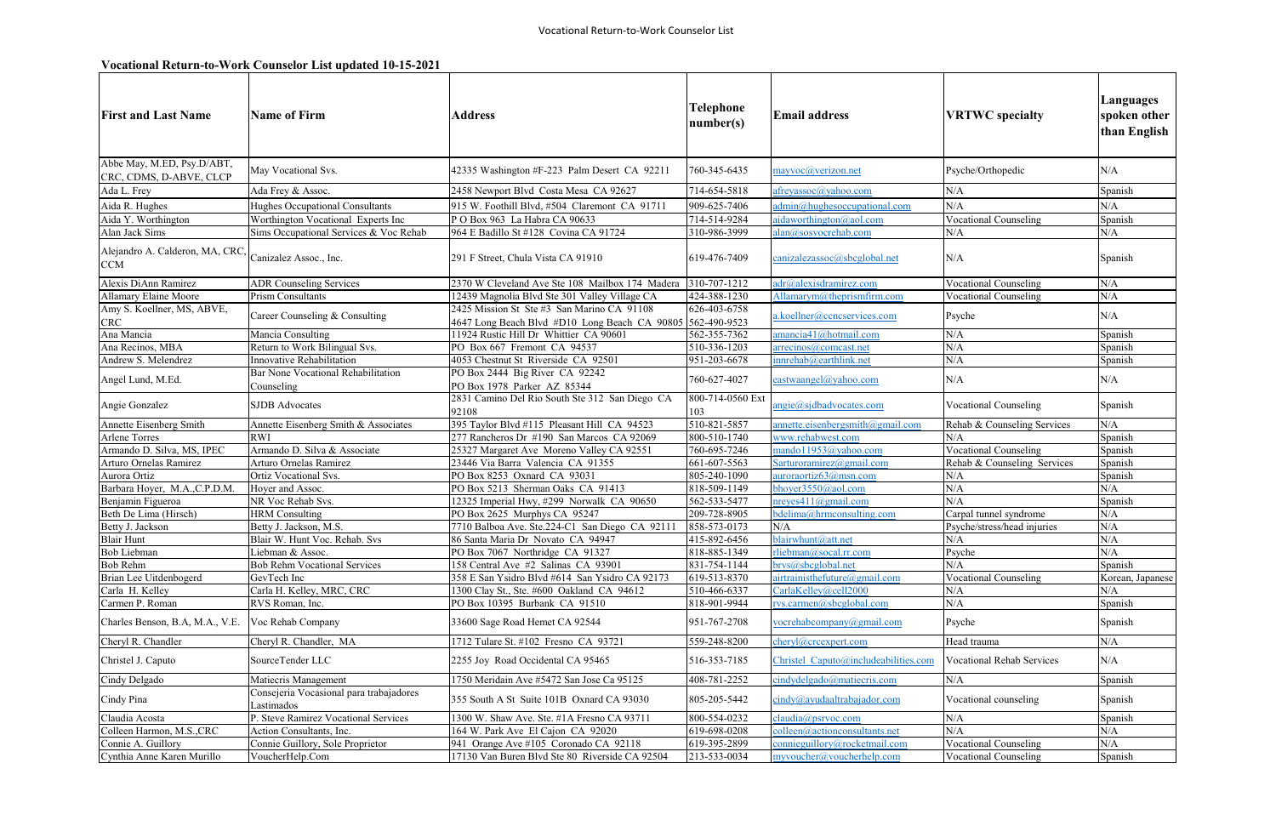## **Vocational Return-to-Work Counselor List updated 10-15-2021**

| <b>First and Last Name</b>                            | Name of Firm                                          | <b>Address</b>                                                                                           | <b>Telephone</b><br>number(s) | <b>Email address</b>                             | <b>VRTWC</b> specialty       | Languages<br>spoken other<br>than English |
|-------------------------------------------------------|-------------------------------------------------------|----------------------------------------------------------------------------------------------------------|-------------------------------|--------------------------------------------------|------------------------------|-------------------------------------------|
| Abbe May, M.ED, Psy.D/ABT,<br>CRC, CDMS, D-ABVE, CLCP | May Vocational Svs.                                   | 42335 Washington #F-223 Palm Desert CA 92211                                                             | 760-345-6435                  | mayvoc@verizon.net                               | Psyche/Orthopedic            | N/A                                       |
| Ada L. Frey                                           | Ada Frey & Assoc.                                     | 2458 Newport Blvd Costa Mesa CA 92627                                                                    | 714-654-5818                  | afreyassoc@yahoo.com                             | N/A                          | Spanish                                   |
| Aida R. Hughes                                        | Hughes Occupational Consultants                       | 915 W. Foothill Blvd, #504 Claremont CA 91711                                                            | 909-625-7406                  | admin@hughesoccupational.com                     | N/A                          | N/A                                       |
| Aida Y. Worthington                                   | Worthington Vocational Experts Inc                    | POBox 963 La Habra CA 90633                                                                              | 714-514-9284                  | aidaworthington@aol.com                          | <b>Vocational Counseling</b> | Spanish                                   |
| Alan Jack Sims                                        | Sims Occupational Services & Voc Rehab                | 964 E Badillo St #128 Covina CA 91724                                                                    | 310-986-3999                  | alan@sosvocrehab.com                             | N/A                          | $\rm N/A$                                 |
| Alejandro A. Calderon, MA, CRC,<br><b>CCM</b>         | Canizalez Assoc., Inc.                                | 291 F Street, Chula Vista CA 91910                                                                       | 619-476-7409                  | canizalezassoc@sbcglobal.net                     | N/A                          | Spanish                                   |
| Alexis DiAnn Ramirez                                  | <b>ADR Counseling Services</b>                        | 2370 W Cleveland Ave Ste 108 Mailbox 174 Madera                                                          | 310-707-1212                  | adr@alexisdramirez.com                           | <b>Vocational Counseling</b> | N/A                                       |
| Allamary Elaine Moore                                 | <b>Prism Consultants</b>                              | 12439 Magnolia Blvd Ste 301 Valley Village CA                                                            | 424-388-1230                  | Allamarym@theprismfirm.com                       | <b>Vocational Counseling</b> | N/A                                       |
| Amy S. Koellner, MS, ABVE,<br><b>CRC</b>              | Career Counseling & Consulting                        | 2425 Mission St Ste #3 San Marino CA 91108<br>4647 Long Beach Blvd #D10 Long Beach CA 90805 562-490-9523 | 626-403-6758                  | .koellner@ccncservices.com                       | Psyche                       | N/A                                       |
| Ana Mancia                                            | Mancia Consulting                                     | 11924 Rustic Hill Dr Whittier CA 90601                                                                   | 562-355-7362                  | amancia41@hotmail.com                            | N/A                          | Spanish                                   |
| Ana Recinos, MBA                                      | Return to Work Bilingual Svs.                         | PO Box 667 Fremont CA 94537                                                                              | 510-336-1203                  | arrecinos@comcast.net                            | N/A                          | Spanish                                   |
| Andrew S. Melendrez                                   | Innovative Rehabilitation                             | 4053 Chestnut St Riverside CA 92501                                                                      | 951-203-6678                  | innrehab@earthlink.net                           | N/A                          | Spanish                                   |
| Angel Lund, M.Ed.                                     | Bar None Vocational Rehabilitation<br>Counseling      | PO Box 2444 Big River CA 92242<br>PO Box 1978 Parker AZ 85344                                            | 760-627-4027                  | eastwaangel@yahoo.com                            | N/A                          | N/A                                       |
| Angie Gonzalez                                        | <b>SJDB</b> Advocates                                 | 2831 Camino Del Rio South Ste 312 San Diego CA<br>92108                                                  | 800-714-0560 Ext<br>103       | angie@sjdbadvocates.com                          | <b>Vocational Counseling</b> | Spanish                                   |
| Annette Eisenberg Smith                               | Annette Eisenberg Smith & Associates                  | 395 Taylor Blvd #115 Pleasant Hill CA 94523                                                              | 510-821-5857                  | annette.eisenbergsmith@gmail.com                 | Rehab & Counseling Services  | N/A                                       |
| <b>Arlene Torres</b>                                  | <b>RWI</b>                                            | 277 Rancheros Dr #190 San Marcos CA 92069                                                                | 800-510-1740                  | www.rehabwest.com                                | N/A                          | Spanish                                   |
| Armando D. Silva, MS, IPEC                            | Armando D. Silva & Associate                          | 25327 Margaret Ave Moreno Valley CA 92551                                                                | 760-695-7246                  | mando11953@yahoo.com                             | Vocational Counseling        | Spanish                                   |
| Arturo Ornelas Ramirez                                | Arturo Ornelas Ramirez                                | 23446 Via Barra Valencia CA 91355                                                                        | 661-607-5563                  | Sarturoramirez@gmail.com                         | Rehab & Counseling Services  | Spanish                                   |
| Aurora Ortiz                                          | Ortiz Vocational Svs.                                 | PO Box 8253 Oxnard CA 93031                                                                              | 805-240-1090                  | auroraortiz63@msn.com                            | N/A                          | Spanish                                   |
| Barbara Hoyer, M.A.,C.P.D.M.                          | Hoyer and Assoc.                                      | PO Box 5213 Sherman Oaks CA 91413                                                                        | 818-509-1149                  | bhoyer3550@aol.com                               | N/A                          | N/A                                       |
| Benjamin Figueroa                                     | NR Voc Rehab Svs.                                     | 12325 Imperial Hwy, #299 Norwalk CA 90650                                                                | 562-533-5477                  | nreyes411@gmail.com                              | N/A                          | Spanish                                   |
| Beth De Lima (Hirsch)                                 | <b>HRM</b> Consulting                                 | PO Box 2625 Murphys CA 95247                                                                             | 209-728-8905                  | bdelima@hrmconsulting.com                        | Carpal tunnel syndrome       | $\rm N/A$                                 |
| Betty J. Jackson                                      | Betty J. Jackson, M.S.                                | 7710 Balboa Ave. Ste.224-C1 San Diego CA 92111                                                           | 858-573-0173                  | N/A                                              | Psyche/stress/head injuries  | $\rm N/A$                                 |
| Blair Hunt                                            | Blair W. Hunt Voc. Rehab. Svs                         | 86 Santa Maria Dr Novato CA 94947                                                                        | 415-892-6456                  | blairwhunt@att.net                               | N/A                          | N/A                                       |
| <b>Bob Liebman</b>                                    | Liebman & Assoc.                                      | PO Box 7067 Northridge CA 91327                                                                          | 818-885-1349                  | rliebman@socal.rr.com                            | Psyche                       | N/A                                       |
| Bob Rehm                                              | <b>Bob Rehm Vocational Services</b>                   | 158 Central Ave #2 Salinas CA 93901                                                                      | 831-754-1144                  | brvs@sbcglobal.net                               | N/A                          | Spanish                                   |
| Brian Lee Uitdenbogerd                                | GevTech Inc                                           | 358 E San Ysidro Blvd #614 San Ysidro CA 92173<br>1300 Clay St., Ste. #600 Oakland CA 94612              | 619-513-8370                  | airtrainisthefuture@gmail.com                    | <b>Vocational Counseling</b> | Korean, Japanese                          |
| Carla H. Kelley<br>Carmen P. Roman                    | Carla H. Kelley, MRC, CRC<br>RVS Roman, Inc.          | PO Box 10395 Burbank CA 91510                                                                            | 510-466-6337<br>818-901-9944  | CarlaKelley@cell2000<br>rvs.carmen@sbcglobal.com | N/A<br>N/A                   | N/A<br>Spanish                            |
| Charles Benson, B.A, M.A., V.E.                       | Voc Rehab Company                                     | 33600 Sage Road Hemet CA 92544                                                                           | 951-767-2708                  | vocrehabcompany@gmail.com                        | Psyche                       | Spanish                                   |
| Cheryl R. Chandler                                    | Cheryl R. Chandler, MA                                | 1712 Tulare St. #102 Fresno CA 93721                                                                     | 559-248-8200                  | cheryl@crcexpert.com                             | Head trauma                  | N/A                                       |
| Christel J. Caputo                                    | SourceTender LLC                                      | 2255 Joy Road Occidental CA 95465                                                                        | 516-353-7185                  | Christel Caputo@includeabilities.com             | Vocational Rehab Services    | N/A                                       |
| Cindy Delgado                                         | Matiecris Management                                  | 1750 Meridain Ave #5472 San Jose Ca 95125                                                                | $\overline{408}$ -781-2252    | cindydelgado@matiecris.com                       | N/A                          | Spanish                                   |
| Cindy Pina                                            | Consejeria Vocasional para trabajadores<br>Lastimados | 355 South A St Suite 101B Oxnard CA 93030                                                                | 805-205-5442                  | cindy@ayudaaltrabajador.com                      | Vocational counseling        | Spanish                                   |
| Claudia Acosta                                        | P. Steve Ramirez Vocational Services                  | 1300 W. Shaw Ave. Ste. #1A Fresno CA 93711                                                               | 800-554-0232                  | claudia@psrvoc.com                               | N/A                          | Spanish                                   |
| Colleen Harmon, M.S., CRC                             | Action Consultants, Inc.                              | 164 W. Park Ave El Cajon CA 92020                                                                        | 619-698-0208                  | colleen@actionconsultants.net                    | N/A                          | N/A                                       |
| Connie A. Guillory                                    | Connie Guillory, Sole Proprietor                      | 941 Orange Ave #105 Coronado CA 92118                                                                    | 619-395-2899                  | connieguillory@rocketmail.com                    | <b>Vocational Counseling</b> | N/A                                       |
| Cynthia Anne Karen Murillo                            | VoucherHelp.Com                                       | 17130 Van Buren Blvd Ste 80 Riverside CA 92504                                                           | 213-533-0034                  | myvoucher@voucherhelp.com                        | <b>Vocational Counseling</b> | Spanish                                   |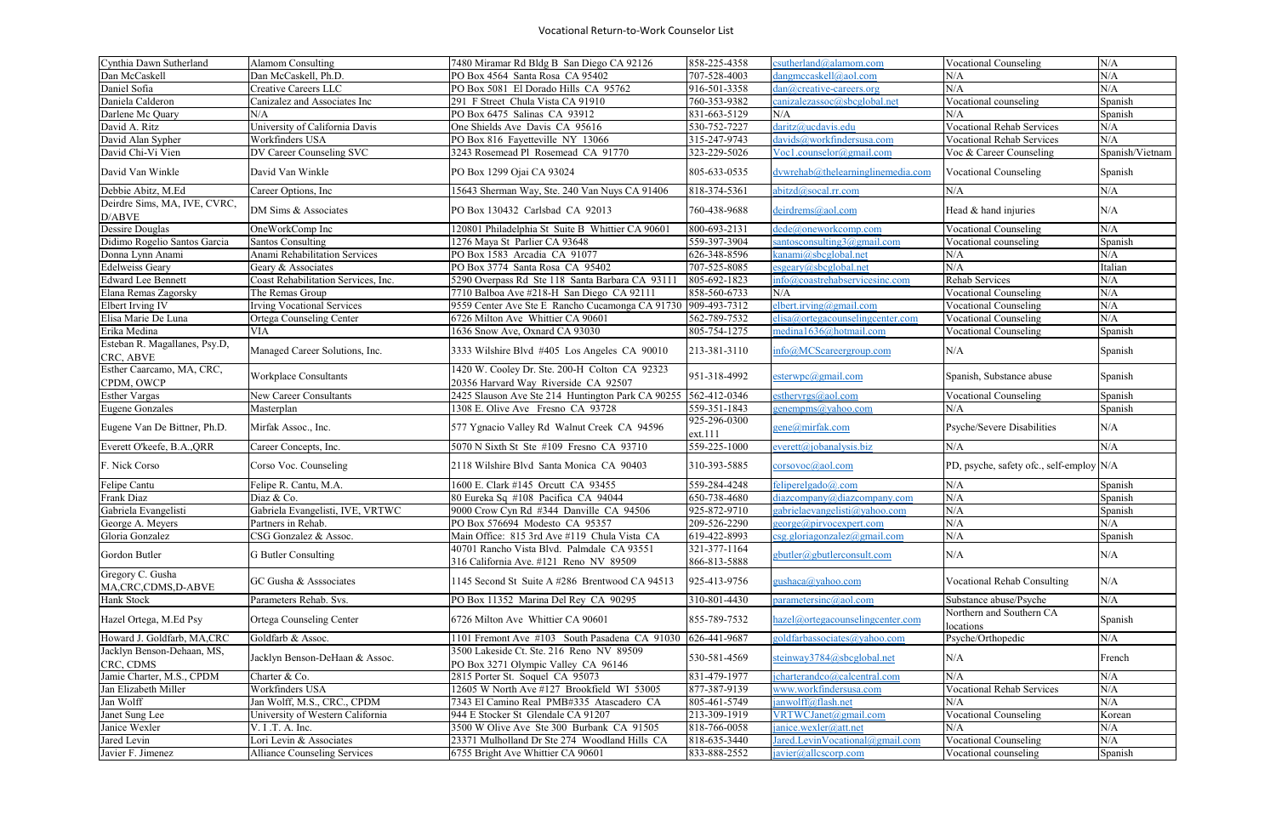| Cynthia Dawn Sutherland                   | Alamom Consulting                   | 7480 Miramar Rd Bldg B San Diego CA 92126                                             | 858-225-4358            | esutherland@alamom.com                   | <b>Vocational Counseling</b>             | $\rm N/A$       |
|-------------------------------------------|-------------------------------------|---------------------------------------------------------------------------------------|-------------------------|------------------------------------------|------------------------------------------|-----------------|
| Dan McCaskell                             | Dan McCaskell, Ph.D.                | PO Box 4564 Santa Rosa CA 95402                                                       | 707-528-4003            | dangmccaskell@aol.com                    | N/A                                      | N/A             |
| Daniel Sofia                              | Creative Careers LLC                | PO Box 5081 El Dorado Hills CA 95762                                                  | 916-501-3358            | dan@creative-careers.org                 | N/A                                      | N/A             |
| Daniela Calderon                          | Canizalez and Associates Inc        | 291 F Street Chula Vista CA 91910                                                     | 760-353-9382            | canizalezassoc@sbcglobal.net             | Vocational counseling                    | Spanish         |
| Darlene Mc Quary                          | N/A                                 | PO Box 6475 Salinas CA 93912                                                          | 831-663-5129            | N/A                                      | N/A                                      | Spanish         |
| David A. Ritz                             | University of California Davis      | One Shields Ave Davis CA 95616                                                        | 530-752-7227            | daritz@ucdavis.edu                       | <b>Vocational Rehab Services</b>         | N/A             |
| David Alan Sypher                         | Workfinders USA                     | PO Box 816 Fayetteville NY 13066                                                      | 315-247-9743            | davids@workfindersusa.com                | <b>Vocational Rehab Services</b>         | N/A             |
| David Chi-Vi Vien                         | DV Career Counseling SVC            | 3243 Rosemead Pl Rosemead CA 91770                                                    | 323-229-5026            | Voc1.counselor@gmail.com                 | Voc & Career Counseling                  | Spanish/Vietnam |
| David Van Winkle                          | David Van Winkle                    | PO Box 1299 Ojai CA 93024                                                             | 805-633-0535            | $d$ vwrehab $@$ thelearninglinemedia.com | Vocational Counseling                    | Spanish         |
| Debbie Abitz, M.Ed                        | Career Options, Inc                 | 15643 Sherman Way, Ste. 240 Van Nuys CA 91406                                         | 818-374-5361            | abitzd@socal.rr.com                      | N/A                                      | $\rm N/A$       |
| Deirdre Sims, MA, IVE, CVRC,<br>D/ABVE    | DM Sims & Associates                | PO Box 130432 Carlsbad CA 92013                                                       | 760-438-9688            | deirdrems@aol.com                        | Head & hand injuries                     | N/A             |
| Dessire Douglas                           | OneWorkComp Inc                     | 120801 Philadelphia St Suite B Whittier CA 90601                                      | 800-693-2131            | dede@oneworkcomp.com                     | <b>Vocational Counseling</b>             | N/A             |
| Didimo Rogelio Santos Garcia              | <b>Santos Consulting</b>            | 1276 Maya St Parlier CA 93648                                                         | 559-397-3904            | santosconsulting $3$ @ gmail.com         | Vocational counseling                    | Spanish         |
| Donna Lynn Anami                          | Anami Rehabilitation Services       | PO Box 1583 Arcadia CA 91077                                                          | 626-348-8596            | kanami@sbcglobal.net                     | N/A                                      | N/A             |
| <b>Edelweiss Geary</b>                    | Geary & Associates                  | PO Box 3774 Santa Rosa CA 95402                                                       | 707-525-8085            | esgeary@sbcglobal.net                    | N/A                                      | Italian         |
| <b>Edward Lee Bennett</b>                 | Coast Rehabilitation Services, Inc. | 5290 Overpass Rd Ste 118 Santa Barbara CA 93111                                       | 805-692-1823            | info@coastrehabservicesinc.com           | Rehab Services                           | N/A             |
| Elana Remas Zagorsky                      | The Remas Group                     | 7710 Balboa Ave #218-H San Diego CA 92111                                             | 858-560-6733            | N/A                                      | <b>Vocational Counseling</b>             | N/A             |
| Elbert Irving IV                          | <b>Irving Vocational Services</b>   | 9559 Center Ave Ste E Rancho Cucamonga CA 91730 909-493-7312                          |                         | elbert.irving@gmail.com                  | <b>Vocational Counseling</b>             | N/A             |
| Elisa Marie De Luna                       | Ortega Counseling Center            | 6726 Milton Ave Whittier CA 90601                                                     | 562-789-7532            | elisa@ortegacounselingcenter.com         | <b>Vocational Counseling</b>             | N/A             |
| Erika Medina                              | <b>VIA</b>                          | 1636 Snow Ave, Oxnard CA 93030                                                        | 805-754-1275            | medina1636@hotmail.com                   | <b>Vocational Counseling</b>             | Spanish         |
| Esteban R. Magallanes, Psy.D,             |                                     |                                                                                       |                         |                                          |                                          |                 |
| CRC, ABVE                                 | Managed Career Solutions, Inc.      | 3333 Wilshire Blvd #405 Los Angeles CA 90010                                          | 213-381-3110            | info@MCScareergroup.com                  | N/A                                      | Spanish         |
| Esther Caarcamo, MA, CRC,<br>CPDM, OWCP   | Workplace Consultants               | 1420 W. Cooley Dr. Ste. 200-H Colton CA 92323<br>20356 Harvard Way Riverside CA 92507 | 951-318-4992            | esterwpc@gmail.com                       | Spanish, Substance abuse                 | Spanish         |
| <b>Esther Vargas</b>                      | New Career Consultants              | 2425 Slauson Ave Ste 214 Huntington Park CA 90255                                     | 562-412-0346            | esthervrgs@aol.com                       | <b>Vocational Counseling</b>             | Spanish         |
| <b>Eugene Gonzales</b>                    | Masterplan                          | 1308 E. Olive Ave Fresno CA 93728                                                     | 559-351-1843            | <u>genempms@yahoo.com</u>                | N/A                                      | Spanish         |
| Eugene Van De Bittner, Ph.D.              | Mirfak Assoc., Inc.                 | 577 Ygnacio Valley Rd Walnut Creek CA 94596                                           | 925-296-0300<br>ext.111 | <u>eene@mirfak.com</u>                   | Psyche/Severe Disabilities               | N/A             |
| Everett O'keefe, B.A., QRR                | Career Concepts, Inc.               | 5070 N Sixth St Ste #109 Fresno CA 93710                                              | 559-225-1000            | $everett(a)$ jobanalysis.biz             | N/A                                      | N/A             |
| F. Nick Corso                             | Corso Voc. Counseling               | 2118 Wilshire Blvd Santa Monica CA 90403                                              | 310-393-5885            | corsovoc@aol.com                         | PD, psyche, safety ofc., self-employ N/A |                 |
| Felipe Cantu                              | Felipe R. Cantu, M.A.               | 1600 E. Clark #145 Orcutt CA 93455                                                    | 559-284-4248            | feliperelgado@.com                       | N/A                                      | Spanish         |
| Frank Diaz                                | Diaz & Co.                          | 80 Eureka Sq #108 Pacifica CA 94044                                                   | 650-738-4680            | diazcompany@diazcompany.com              | N/A                                      | Spanish         |
| Gabriela Evangelisti                      | Gabriela Evangelisti, IVE, VRTWC    | 9000 Crow Cyn Rd #344 Danville CA 94506                                               | 925-872-9710            | gabrielaevangelisti@yahoo.com            | N/A                                      | Spanish         |
| George A. Meyers                          | Partners in Rehab.                  | PO Box 576694 Modesto CA 95357                                                        | 209-526-2290            | $george(\theta)$ pirvocexpert.com        | $\rm N/A$                                | N/A             |
| Gloria Gonzalez                           | CSG Gonzalez & Assoc.               | Main Office: 815 3rd Ave #119 Chula Vista CA                                          | 619-422-8993            | $\csc g$ .gloriagonzalez@gmail.com       | N/A                                      | Spanish         |
|                                           |                                     | 40701 Rancho Vista Blvd. Palmdale CA 93551                                            | 321-377-1164            |                                          |                                          |                 |
| Gordon Butler                             | G Butler Consulting                 | 316 California Ave. #121 Reno NV 89509                                                | 866-813-5888            | gbutler@gbutlerconsult.com               | N/A                                      | N/A             |
| Gregory C. Gusha<br>MA, CRC, CDMS, D-ABVE | GC Gusha & Asssociates              | 1145 Second St Suite A #286 Brentwood CA 94513                                        | 925-413-9756            | gushaca@yahoo.com                        | Vocational Rehab Consulting              | N/A             |
| Hank Stock                                | Parameters Rehab. Svs.              | PO Box 11352 Marina Del Rey CA 90295                                                  | 310-801-4430            | parametersinc@aol.com                    | Substance abuse/Psyche                   | N/A             |
| Hazel Ortega, M.Ed Psy                    | Ortega Counseling Center            | 6726 Milton Ave Whittier CA 90601                                                     | 855-789-7532            | hazel@ortegacounselingcenter.com         | Northern and Southern CA<br>locations    | Spanish         |
| Howard J. Goldfarb, MA,CRC                | Goldfarb & Assoc.                   | 1101 Fremont Ave #103 South Pasadena CA 91030                                         | $\sqrt{626-441-9687}$   | goldfarbassociates@yahoo.com             | Psyche/Orthopedic                        | N/A             |
| Jacklyn Benson-Dehaan, MS,                |                                     | 3500 Lakeside Ct. Ste. 216 Reno NV 89509                                              |                         |                                          |                                          |                 |
| CRC, CDMS                                 | Jacklyn Benson-DeHaan & Assoc.      | PO Box 3271 Olympic Valley CA 96146                                                   | 530-581-4569            | steinway3784@sbcglobal.net               | N/A                                      | French          |
| Jamie Charter, M.S., CPDM                 | Charter & Co.                       | 2815 Porter St. Soquel CA 95073                                                       | 831-479-1977            | jcharterandco@calcentral.com             | N/A                                      | $\rm N/A$       |
| Jan Elizabeth Miller                      | Workfinders USA                     | 12605 W North Ave #127 Brookfield WI 53005                                            | 877-387-9139            | www.workfindersusa.com                   | <b>Vocational Rehab Services</b>         | N/A             |
| Jan Wolff                                 | Jan Wolff, M.S., CRC., CPDM         | 7343 El Camino Real PMB#335 Atascadero CA                                             | 805-461-5749            | janwolff@flash.net                       | N/A                                      | N/A             |
| Janet Sung Lee                            | University of Western California    | 944 E Stocker St Glendale CA 91207                                                    | 213-309-1919            | VRTWCJanet@gmail.com                     | <b>Vocational Counseling</b>             | Korean          |
| Janice Wexler                             | V. I.T. A. Inc.                     | 3500 W Olive Ave Ste 300 Burbank CA 91505                                             | 818-766-0058            | janice.wexler@att.net                    | N/A                                      | N/A             |
| Jared Levin                               | Lori Levin & Associates             | 23371 Mulholland Dr Ste 274 Woodland Hills CA                                         | 818-635-3440            | Jared.LevinVocational@gmail.com          | <b>Vocational Counseling</b>             | N/A             |
| Javier F. Jimenez                         | <b>Alliance Counseling Services</b> | 6755 Bright Ave Whittier CA 90601                                                     | 833-888-2552            | javier@allcscorp.com                     | Vocational counseling                    | Spanish         |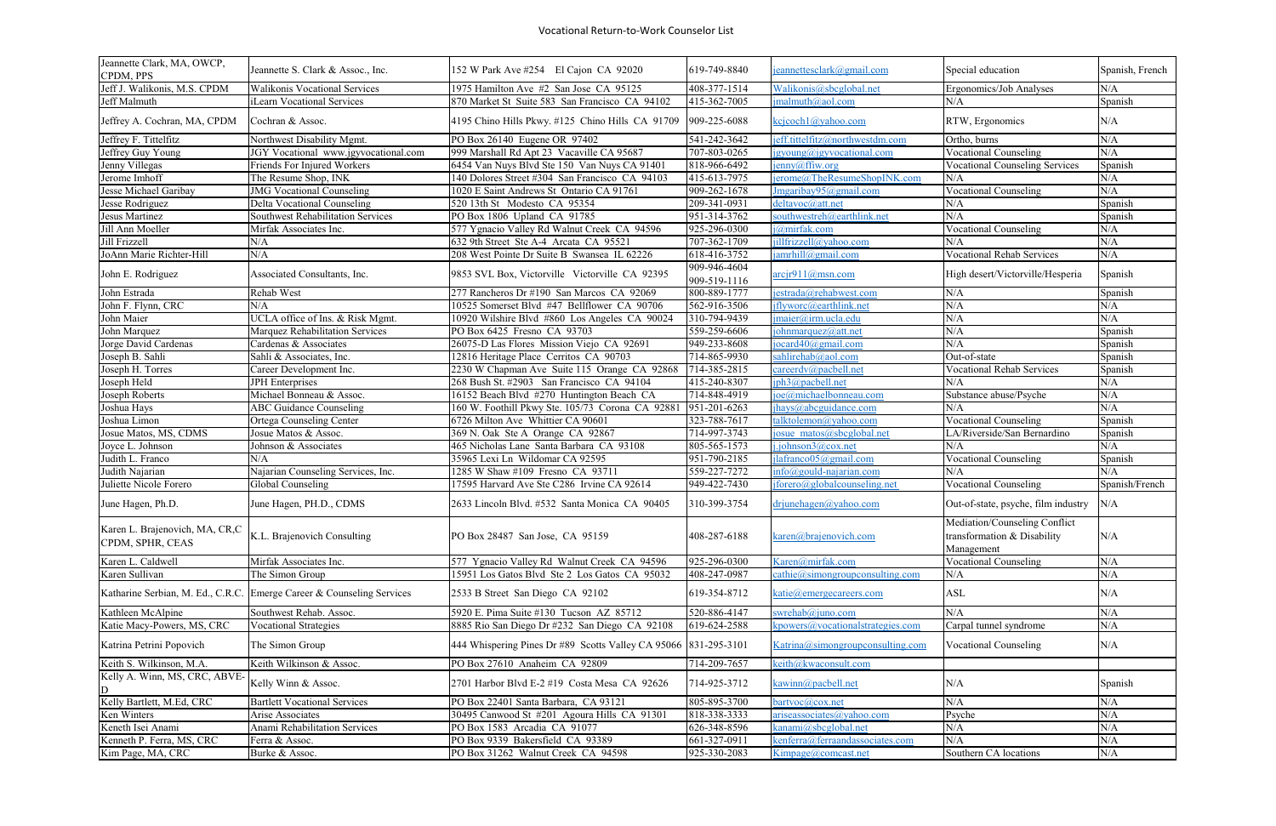| Jeannette Clark, MA, OWCP,<br>CPDM, PPS            | Jeannette S. Clark & Assoc., Inc.                                     | 152 W Park Ave #254 El Cajon CA 92020                           | 619-749-8840                 | jeannettesclark@gmail.com         | Special education                                                          | Spanish, French |
|----------------------------------------------------|-----------------------------------------------------------------------|-----------------------------------------------------------------|------------------------------|-----------------------------------|----------------------------------------------------------------------------|-----------------|
| Jeff J. Walikonis, M.S. CPDM                       | Walikonis Vocational Services                                         | 1975 Hamilton Ave #2 San Jose CA 95125                          | 408-377-1514                 | Walikonis@sbcglobal.net           | Ergonomics/Job Analyses                                                    | N/A             |
| Jeff Malmuth                                       | iLearn Vocational Services                                            | 870 Market St Suite 583 San Francisco CA 94102                  | 415-362-7005                 | $j$ malmuth@aol.com               | N/A                                                                        | Spanish         |
| Jeffrey A. Cochran, MA, CPDM                       | Cochran & Assoc.                                                      | 4195 Chino Hills Pkwy. #125 Chino Hills CA 91709                | 909-225-6088                 | $k$ cjcoch $l$ @yahoo.com         | RTW, Ergonomics                                                            | N/A             |
| Jeffrey F. Tittelfitz                              | Northwest Disability Mgmt.                                            | PO Box 26140 Eugene OR 97402                                    | 541-242-3642                 | jeff.tittelfitz@northwestdm.com   | Ortho, burns                                                               | N/A             |
| Jeffrey Guy Young                                  | JGY Vocational www.jgyvocational.com                                  | 999 Marshall Rd Apt 23 Vacaville CA 95687                       | 707-803-0265                 | igyoung@jgyvocational.com         | <b>Vocational Counseling</b>                                               | N/A             |
| Jenny Villegas                                     | Friends For Injured Workers                                           | 6454 Van Nuys Blvd Ste 150 Van Nuys CA 91401                    | 818-966-6492                 | $\frac{1}{2}$ enny@ffiw.org       | <b>Vocational Counseling Services</b>                                      | Spanish         |
| Jerome Imhoff                                      | The Resume Shop, INK                                                  | 140 Dolores Street #304 San Francisco CA 94103                  | 415-613-7975                 | jerome@TheResumeShopINK.com       | N/A                                                                        | N/A             |
| Jesse Michael Garibay                              | <b>JMG Vocational Counseling</b>                                      | 1020 E Saint Andrews St Ontario CA 91761                        | 909-262-1678                 | Jmgaribay95@gmail.com             | <b>Vocational Counseling</b>                                               | $\rm N/A$       |
| Jesse Rodriguez                                    | Delta Vocational Counseling                                           | 520 13th St Modesto CA 95354                                    | $209 - 341 - 0931$           | deltavoc@att.net                  | N/A                                                                        | Spanish         |
| Jesus Martinez                                     | Southwest Rehabilitation Services                                     | PO Box 1806 Upland CA 91785                                     | 951-314-3762                 | southwestreh@earthlink.net        | N/A                                                                        | Spanish         |
| Jill Ann Moeller                                   | Mirfak Associates Inc.                                                | 577 Ygnacio Valley Rd Walnut Creek CA 94596                     | 925-296-0300                 | j@mirfak.com                      | <b>Vocational Counseling</b>                                               | N/A             |
| Jill Frizzell                                      | N/A                                                                   | 632 9th Street Ste A-4 Arcata CA 95521                          | 707-362-1709                 | jillfrizzell@yahoo.com            | N/A                                                                        | N/A             |
| JoAnn Marie Richter-Hill                           | N/A                                                                   | 208 West Pointe Dr Suite B Swansea IL 62226                     | 618-416-3752                 | jamrhill@gmail.com                | <b>Vocational Rehab Services</b>                                           | N/A             |
| John E. Rodriguez                                  | Associated Consultants, Inc.                                          | 9853 SVL Box, Victorville Victorville CA 92395                  | 909-946-4604<br>909-519-1116 | $\arcir911(a)$ msn.com            | High desert/Victorville/Hesperia                                           | Spanish         |
| John Estrada                                       | Rehab West                                                            | 277 Rancheros Dr #190 San Marcos CA 92069                       | 800-889-1777                 | jestrada@rehabwest.com            | N/A                                                                        | Spanish         |
| John F. Flynn, CRC                                 | N/A                                                                   | 10525 Somerset Blvd #47 Bellflower CA 90706                     | 562-916-3506                 | jflyworc@earthlink.net            | N/A                                                                        | N/A             |
| John Maier                                         | UCLA office of Ins. & Risk Mgmt.                                      | 10920 Wilshire Blvd #860 Los Angeles CA 90024                   | 310-794-9439                 | jmaier@irm.ucla.edu               | N/A                                                                        | N/A             |
| John Marquez                                       | <b>Marquez Rehabilitation Services</b>                                | PO Box 6425 Fresno CA 93703                                     | 559-259-6606                 | johnmarquez@att.net               | N/A                                                                        | Spanish         |
| Jorge David Cardenas                               | Cardenas & Associates                                                 | 26075-D Las Flores Mission Viejo CA 92691                       | 949-233-8608                 | jocard $40$ @gmail.com            | N/A                                                                        | Spanish         |
| Joseph B. Sahli                                    | Sahli & Associates, Inc.                                              | 12816 Heritage Place Cerritos CA 90703                          | 714-865-9930                 | sahlirehab@aol.com                | Out-of-state                                                               | Spanish         |
| Joseph H. Torres                                   | Career Development Inc.                                               | 2230 W Chapman Ave Suite 115 Orange CA 92868                    | 714-385-2815                 | careerdv@pacbell.net              | <b>Vocational Rehab Services</b>                                           | Spanish         |
| Joseph Held                                        | <b>JPH</b> Enterprises                                                | 268 Bush St. #2903 San Francisco CA 94104                       | 415-240-8307                 | jph3@pacbell.net                  | N/A                                                                        | N/A             |
| Joseph Roberts                                     | Michael Bonneau & Assoc.                                              | 16152 Beach Blvd #270 Huntington Beach CA                       | 714-848-4919                 | joe@michaelbonneau.com            | Substance abuse/Psyche                                                     | N/A             |
| Joshua Hays                                        | <b>ABC Guidance Counseling</b>                                        | 160 W. Foothill Pkwy Ste. 105/73 Corona CA 92881                | $\sqrt{951-201-6263}$        | jhays@abcguidance.com             | N/A                                                                        | N/A             |
| Joshua Limon                                       | Ortega Counseling Center                                              | 6726 Milton Ave Whittier CA 90601                               | 323-788-7617                 | talktolemon@yahoo.com             | <b>Vocational Counseling</b>                                               | Spanish         |
| Josue Matos, MS, CDMS                              | Josue Matos & Assoc.                                                  | 369 N. Oak Ste A Orange CA 92867                                | 714-997-3743                 | josue matos@sbcglobal.net         | LA/Riverside/San Bernardino                                                | Spanish         |
| Joyce L. Johnson                                   | Johnson & Associates                                                  | 465 Nicholas Lane Santa Barbara CA 93108                        | 805-565-1573                 | $i$ .johnson $3$ @cox.net         | N/A                                                                        | N/A             |
| Judith L. Franco                                   | N/A                                                                   | 35965 Lexi Ln Wildomar CA 92595                                 | 951-790-2185                 | jlafranco05@gmail.com             | <b>Vocational Counseling</b>                                               | Spanish         |
| Judith Najarian                                    | Najarian Counseling Services, Inc.                                    | 1285 W Shaw #109 Fresno CA 93711                                | 559-227-7272                 | $info(\omega)$ gould-najarian.com | N/A                                                                        | N/A             |
| Juliette Nicole Forero                             | Global Counseling                                                     | 17595 Harvard Ave Ste C286 Irvine CA 92614                      | 949-422-7430                 | jforero@globalcounseling.net      | <b>Vocational Counseling</b>                                               | Spanish/French  |
| June Hagen, Ph.D.                                  | June Hagen, PH.D., CDMS                                               | 2633 Lincoln Blvd. #532 Santa Monica CA 90405                   | 310-399-3754                 | $dr$ junehagen@yahoo.com          | Out-of-state, psyche, film industry N/A                                    |                 |
| Karen L. Brajenovich, MA, CR,C<br>CPDM, SPHR, CEAS | K.L. Brajenovich Consulting                                           | PO Box 28487 San Jose, CA 95159                                 | 408-287-6188                 | karen@brajenovich.com             | Mediation/Counseling Conflict<br>transformation & Disability<br>Management | N/A             |
| Karen L. Caldwell                                  | Mirfak Associates Inc.                                                | 577 Ygnacio Valley Rd Walnut Creek CA 94596                     | 925-296-0300                 | Karen@mirfak.com                  | <b>Vocational Counseling</b>                                               | $\rm N/A$       |
| Karen Sullivan                                     | The Simon Group                                                       | 15951 Los Gatos Blvd Ste 2 Los Gatos CA 95032                   | 408-247-0987                 | cathie@simongroupconsulting.com   | N/A                                                                        | N/A             |
|                                                    | Katharine Serbian, M. Ed., C.R.C. Emerge Career & Counseling Services | 2533 B Street San Diego CA 92102                                | 619-354-8712                 | katie@emergecareers.com           | <b>ASL</b>                                                                 | N/A             |
| Kathleen McAlpine                                  | Southwest Rehab. Assoc.                                               | 5920 E. Pima Suite #130 Tucson AZ 85712                         | 520-886-4147                 | swrehab@juno.com                  | N/A                                                                        | $\rm N/A$       |
| Katie Macy-Powers, MS, CRC                         | <b>Vocational Strategies</b>                                          | 8885 Rio San Diego Dr #232 San Diego CA 92108                   | 619-624-2588                 | kpowers@vocationalstrategies.com  | Carpal tunnel syndrome                                                     | N/A             |
| Katrina Petrini Popovich                           | The Simon Group                                                       | 444 Whispering Pines Dr #89 Scotts Valley CA 95066 831-295-3101 |                              | Katrina@simongroupconsulting.com  | <b>Vocational Counseling</b>                                               | N/A             |
| Keith S. Wilkinson, M.A.                           | Keith Wilkinson & Assoc.                                              | PO Box 27610 Anaheim CA 92809                                   | 714-209-7657                 | keith@kwaconsult.com              |                                                                            |                 |
| Kelly A. Winn, MS, CRC, ABVE-<br>D                 | Kelly Winn & Assoc.                                                   | 2701 Harbor Blvd E-2 #19 Costa Mesa CA 92626                    | 714-925-3712                 | kawinn@pacbell.net                | N/A                                                                        | Spanish         |
| Kelly Bartlett, M.Ed, CRC                          | <b>Bartlett Vocational Services</b>                                   | PO Box 22401 Santa Barbara, CA 93121                            | 805-895-3700                 | bartvoc@cox.net                   | N/A                                                                        | N/A             |
| Ken Winters                                        | Arise Associates                                                      | 30495 Canwood St #201 Agoura Hills CA 91301                     | 818-338-3333                 | ariseassociates@yahoo.com         | Psyche                                                                     | $\rm N/A$       |
| Keneth Isei Anami                                  | Anami Rehabilitation Services                                         | PO Box 1583 Arcadia CA 91077                                    | 626-348-8596                 | kanami@sbcglobal.net              | N/A                                                                        | $\rm N/A$       |
| Kenneth P. Ferra, MS, CRC                          | Ferra & Assoc.                                                        | PO Box 9339 Bakersfield CA 93389                                | 661-327-0911                 | kenferra@ferraandassociates.com   | N/A                                                                        | $\rm N/A$       |
| Kim Page, MA, CRC                                  | Burke & Assoc.                                                        | PO Box 31262 Walnut Creek CA 94598                              | 925-330-2083                 | Kimpage@comcast.net               | Southern CA locations                                                      | $\rm N/A$       |
|                                                    |                                                                       |                                                                 |                              |                                   |                                                                            |                 |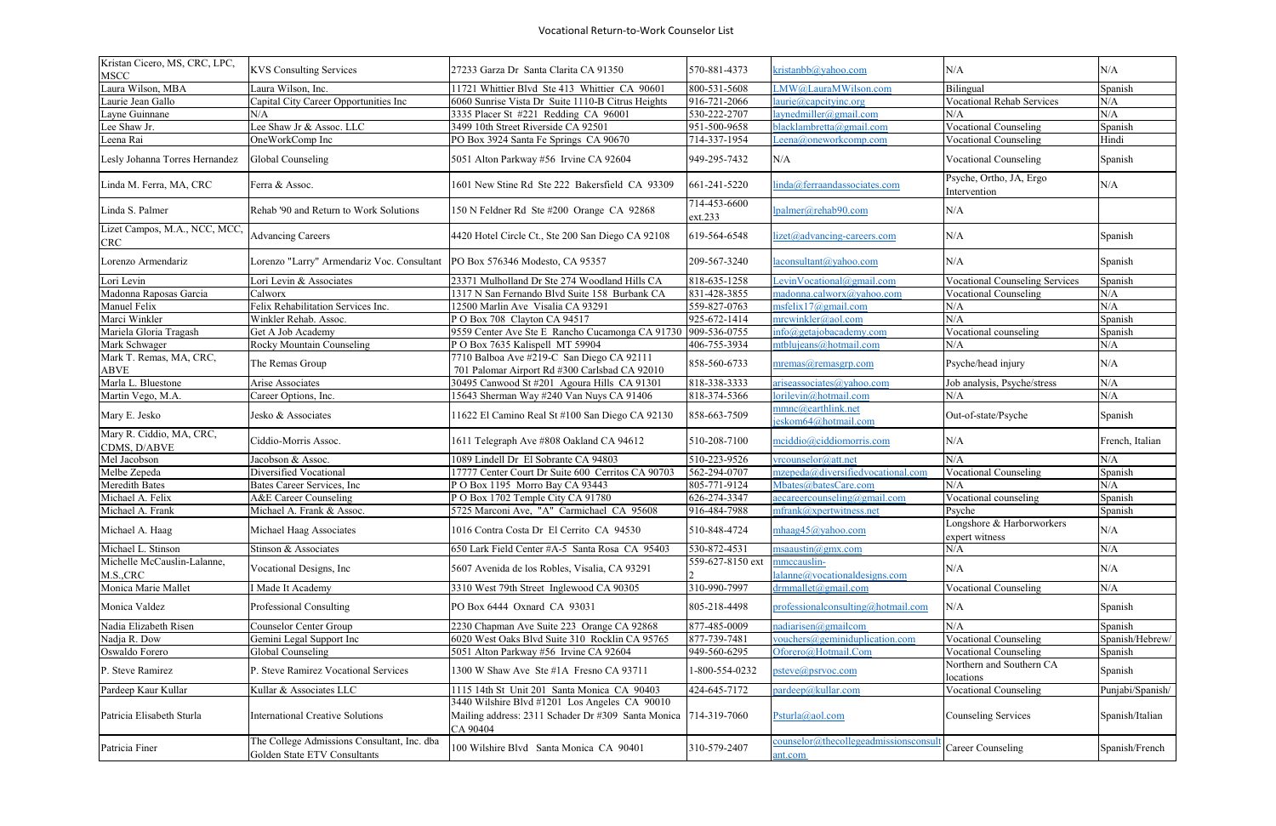| Kristan Cicero, MS, CRC, LPC,<br><b>MSCC</b> | <b>KVS Consulting Services</b>                                              | 27233 Garza Dr Santa Clarita CA 91350                                                                           | 570-881-4373              | kristanbb@yahoo.com                                          | N/A                                         | N/A              |
|----------------------------------------------|-----------------------------------------------------------------------------|-----------------------------------------------------------------------------------------------------------------|---------------------------|--------------------------------------------------------------|---------------------------------------------|------------------|
| Laura Wilson, MBA                            | Laura Wilson, Inc.                                                          | 11721 Whittier Blvd Ste 413 Whittier CA 90601                                                                   | 800-531-5608              | LMW@LauraMWilson.com                                         | Bilingual                                   | Spanish          |
| Laurie Jean Gallo                            | Capital City Career Opportunities Inc                                       | 6060 Sunrise Vista Dr Suite 1110-B Citrus Heights                                                               | 916-721-2066              | laurie@capcityinc.org                                        | <b>Vocational Rehab Services</b>            | N/A              |
| Layne Guinnane                               | N/A                                                                         | 3335 Placer St #221 Redding CA 96001                                                                            | 530-222-2707              | layeredmiller@gmail.com                                      | N/A                                         | N/A              |
| Lee Shaw Jr.                                 | Lee Shaw Jr & Assoc. LLC                                                    | 3499 10th Street Riverside CA 92501                                                                             | 951-500-9658              | blacklambretta@gmail.com                                     | <b>Vocational Counseling</b>                | Spanish          |
| Leena Rai                                    | OneWorkComp Inc                                                             | PO Box 3924 Santa Fe Springs CA 90670                                                                           | 714-337-1954              | Leena@oneworkcomp.com                                        | <b>Vocational Counseling</b>                | Hindi            |
| Lesly Johanna Torres Hernandez               | Global Counseling                                                           | 5051 Alton Parkway #56 Irvine CA 92604                                                                          | 949-295-7432              | N/A                                                          | <b>Vocational Counseling</b>                | Spanish          |
| Linda M. Ferra, MA, CRC                      | Ferra & Assoc.                                                              | 1601 New Stine Rd Ste 222 Bakersfield CA 93309                                                                  | 661-241-5220              | linda@ferraandassociates.com                                 | Psyche, Ortho, JA, Ergo<br>Intervention     | N/A              |
| Linda S. Palmer                              | Rehab '90 and Return to Work Solutions                                      | 150 N Feldner Rd Ste #200 Orange CA 92868                                                                       | 714-453-6600<br>ext.233   | Ipalmer@rehab90.com                                          | N/A                                         |                  |
| Lizet Campos, M.A., NCC, MCC,<br><b>CRC</b>  | <b>Advancing Careers</b>                                                    | 4420 Hotel Circle Ct., Ste 200 San Diego CA 92108                                                               | 619-564-6548              | lizet@advancing-careers.com                                  | N/A                                         | Spanish          |
| Lorenzo Armendariz                           | Lorenzo "Larry" Armendariz Voc. Consultant                                  | PO Box 576346 Modesto, CA 95357                                                                                 | 209-567-3240              | laconsultant@yahoo.com                                       | N/A                                         | Spanish          |
| Lori Levin                                   | Lori Levin & Associates                                                     | 23371 Mulholland Dr Ste 274 Woodland Hills CA                                                                   | 818-635-1258              | LevinVocational@gmail.com                                    | <b>Vocational Counseling Services</b>       | Spanish          |
| Madonna Raposas Garcia                       | Calworx                                                                     | 1317 N San Fernando Blvd Suite 158 Burbank CA                                                                   | 831-428-3855              | madonna.calworx@yahoo.com                                    | <b>Vocational Counseling</b>                | N/A              |
| Manuel Felix                                 | Felix Rehabilitation Services Inc.                                          | 12500 Marlin Ave Visalia CA 93291                                                                               | 559-827-0763              | msfelix 17@gmail.com                                         | N/A                                         | N/A              |
| Marci Winkler                                | Winkler Rehab. Assoc.                                                       | P O Box 708 Clayton CA 94517                                                                                    | $\overline{925-672-1}414$ | mrcwinkler@aol.com                                           | N/A                                         | Spanish          |
| Mariela Gloria Tragash                       | Get A Job Academy                                                           | 9559 Center Ave Ste E Rancho Cucamonga CA 91730 909-536-0755                                                    |                           | $\frac{\text{info}(a)}{\text{getajobacademy.com}}$           | $\sqrt{\text{V}}$ ocational counseling      | Spanish          |
| Mark Schwager                                | Rocky Mountain Counseling                                                   | POBox 7635 Kalispell MT 59904                                                                                   | 406-755-3934              | mtblujeans@hotmail.com                                       | N/A                                         | N/A              |
| Mark T. Remas, MA, CRC,<br><b>ABVE</b>       | The Remas Group                                                             | 7710 Balboa Ave #219-C San Diego CA 92111<br>701 Palomar Airport Rd #300 Carlsbad CA 92010                      | 858-560-6733              | mremas@remasgrp.com                                          | Psyche/head injury                          | N/A              |
| Marla L. Bluestone                           | Arise Associates                                                            | 30495 Canwood St #201 Agoura Hills CA 91301                                                                     | 818-338-3333              | ariseassociates@yahoo.com                                    | Job analysis, Psyche/stress                 | N/A              |
| Martin Vego, M.A.                            | Career Options, Inc.                                                        | 15643 Sherman Way #240 Van Nuys CA 91406                                                                        | 818-374-5366              | lorilevin@hotmail.com                                        | N/A                                         | N/A              |
| Mary E. Jesko                                | Jesko & Associates                                                          | 11622 El Camino Real St #100 San Diego CA 92130                                                                 | 858-663-7509              | mmnc@earthlink.net<br>jeskom64@hotmail.com                   | Out-of-state/Psyche                         | Spanish          |
| Mary R. Ciddio, MA, CRC,<br>CDMS, D/ABVE     | Ciddio-Morris Assoc.                                                        | 1611 Telegraph Ave #808 Oakland CA 94612                                                                        | 510-208-7100              | mciddio@ciddiomorris.com                                     | N/A                                         | French, Italian  |
| Mel Jacobson                                 | Jacobson & Assoc.                                                           | 1089 Lindell Dr El Sobrante CA 94803                                                                            | 510-223-9526              | vrcounselor@att.net                                          | N/A                                         | N/A              |
| Melbe Zepeda                                 | Diversified Vocational                                                      | 17777 Center Court Dr Suite 600 Cerritos CA 90703                                                               | 562-294-0707              | mzepeda@diversifiedvocational.com                            | <b>Vocational Counseling</b>                | Spanish          |
| Meredith Bates                               | Bates Career Services, Inc                                                  | POBox 1195 Morro Bay CA 93443                                                                                   | 805-771-9124              | Mbates@batesCare.com                                         | N/A                                         | N/A              |
| Michael A. Felix                             | A&E Career Counseling                                                       | POBox 1702 Temple City CA 91780                                                                                 | 626-274-3347              | aecareercounseling@gmail.com                                 | Vocational counseling                       | Spanish          |
| Michael A. Frank                             | Michael A. Frank & Assoc.                                                   | 5725 Marconi Ave, "A" Carmichael CA 95608                                                                       | 916-484-7988              | mfrank@xpertwitness.net                                      | Psyche                                      | Spanish          |
| Michael A. Haag                              | Michael Haag Associates                                                     | 1016 Contra Costa Dr El Cerrito CA 94530                                                                        | 510-848-4724              | mhaag45@yahoo.com                                            | Longshore & Harborworkers<br>expert witness | N/A              |
| Michael L. Stinson                           | Stinson & Associates                                                        | 650 Lark Field Center #A-5 Santa Rosa CA 95403                                                                  | 530-872-4531              | msaaustin $@g$ mx.com                                        | N/A                                         | N/A              |
| Michelle McCauslin-Lalanne,<br>M.S.,CRC      | Vocational Designs, Inc                                                     | 5607 Avenida de los Robles, Visalia, CA 93291                                                                   | 559-627-8150 ext          | mmccauslin-<br>$l$ alanne $@$ vocationaldesigns.com          | N/A                                         | N/A              |
| Monica Marie Mallet                          | Made It Academy                                                             | 3310 West 79th Street Inglewood CA 90305                                                                        | 310-990-7997              | $d$ rmmallet $(\partial g$ mail.com                          | Vocational Counseling                       | N/A              |
| Monica Valdez                                | Professional Consulting                                                     | PO Box 6444 Oxnard CA 93031                                                                                     | 805-218-4498              | professionalconsulting@hotmail.com                           | N/A                                         | Spanish          |
| Nadia Elizabeth Risen                        | Counselor Center Group                                                      | 2230 Chapman Ave Suite 223 Orange CA 92868                                                                      | 877-485-0009              | nadianisen@gmailcom                                          | N/A                                         | Spanish          |
| Nadja R. Dow                                 | Gemini Legal Support Inc                                                    | 6020 West Oaks Blvd Suite 310 Rocklin CA 95765                                                                  | 877-739-7481              | vouchers@geminiduplication.com                               | <b>Vocational Counseling</b>                | Spanish/Hebrew/  |
| Oswaldo Forero                               | Global Counseling                                                           | 5051 Alton Parkway #56 Irvine CA 92604                                                                          | 949-560-6295              | Oforero@Hotmail.Com                                          | <b>Vocational Counseling</b>                | Spanish          |
| P. Steve Ramirez                             | P. Steve Ramirez Vocational Services                                        | 1300 W Shaw Ave Ste #1A Fresno CA 93711                                                                         | 1-800-554-0232            | psteve@psrvoc.com                                            | Northern and Southern CA<br>locations       | Spanish          |
| Pardeep Kaur Kullar                          | Kullar & Associates LLC                                                     | 1115 14th St Unit 201 Santa Monica CA 90403                                                                     | 424-645-7172              | pardeep@kullar.com                                           | <b>Vocational Counseling</b>                | Punjabi/Spanish/ |
| Patricia Elisabeth Sturla                    | <b>International Creative Solutions</b>                                     | 3440 Wilshire Blvd #1201 Los Angeles CA 90010<br>Mailing address: 2311 Schader Dr #309 Santa Monica<br>CA 90404 | $714 - 319 - 7060$        | Psturla@aol.com                                              | <b>Counseling Services</b>                  | Spanish/Italian  |
| Patricia Finer                               | The College Admissions Consultant, Inc. dba<br>Golden State ETV Consultants | 100 Wilshire Blvd Santa Monica CA 90401                                                                         | 310-579-2407              | $counter(\widehat{a})$ thecollegeadmissionsconsul<br>ant.com | Career Counseling                           | Spanish/French   |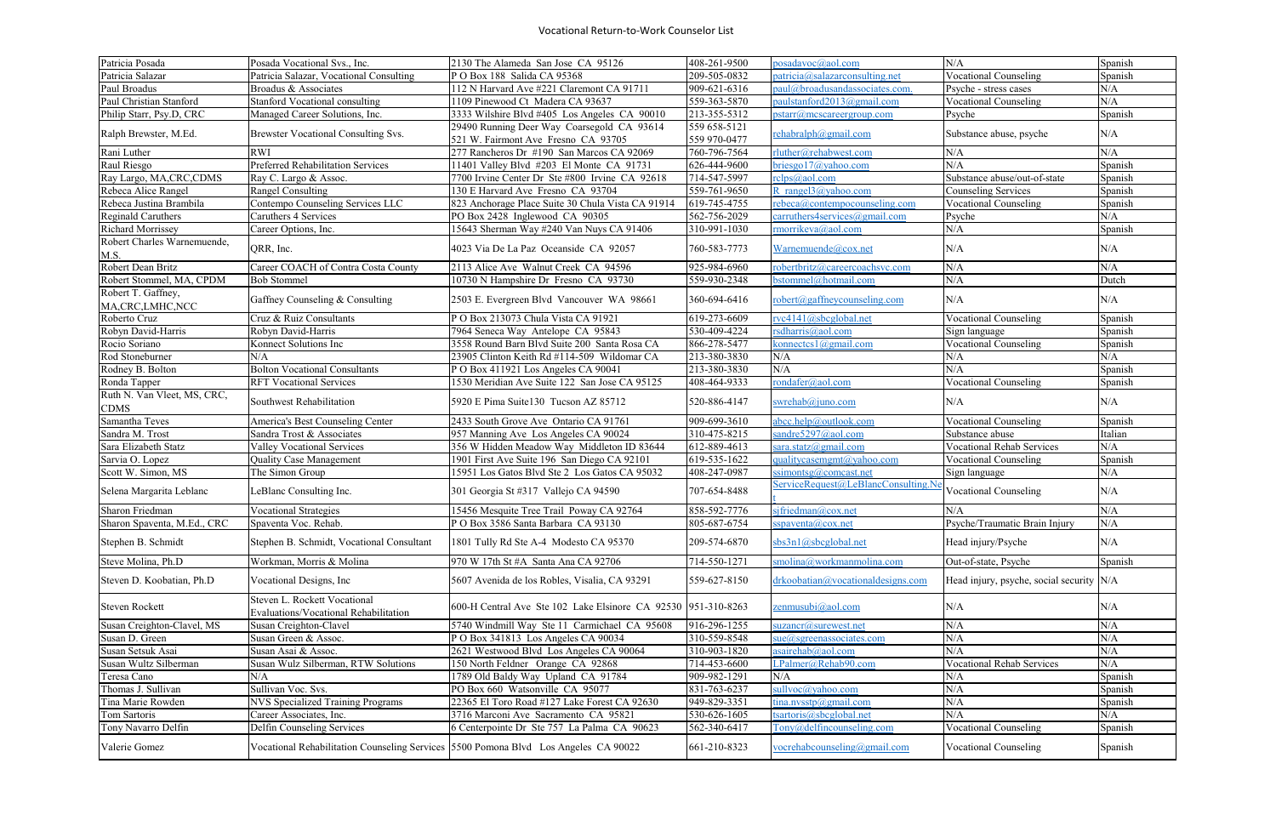| Patricia Posada                            | Posada Vocational Svs., Inc.                                                        | 2130 The Alameda San Jose CA 95126                            | 408-261-9500       | posadavoc@aol.com                            | N/A                                      | Spanish   |
|--------------------------------------------|-------------------------------------------------------------------------------------|---------------------------------------------------------------|--------------------|----------------------------------------------|------------------------------------------|-----------|
| Patricia Salazar                           | Patricia Salazar, Vocational Consulting                                             | POBox 188 Salida CA 95368                                     | 209-505-0832       | $particia(\partial_{s}alazarconsulting.net)$ | <b>Vocational Counseling</b>             | Spanish   |
| Paul Broadus                               | Broadus & Associates                                                                | 112 N Harvard Ave #221 Claremont CA 91711                     | 909-621-6316       | paul@broadusandassociates.com.               | Psyche - stress cases                    | N/A       |
| Paul Christian Stanford                    | <b>Stanford Vocational consulting</b>                                               | 1109 Pinewood Ct Madera CA 93637                              | 559-363-5870       | paulstanford2013@gmail.com                   | <b>Vocational Counseling</b>             | N/A       |
| Philip Starr, Psy.D, CRC                   | Managed Career Solutions, Inc.                                                      | 3333 Wilshire Blvd #405 Los Angeles CA 90010                  | 213-355-5312       | pstarr@mcscareergroup.com                    | Psyche                                   | Spanish   |
|                                            |                                                                                     | 29490 Running Deer Way Coarsegold CA 93614                    | 559 658-5121       |                                              |                                          |           |
| Ralph Brewster, M.Ed.                      | Brewster Vocational Consulting Svs.                                                 | 521 W. Fairmont Ave Fresno CA 93705                           | 559 970-0477       | rehabralph@gmail.com                         | Substance abuse, psyche                  | N/A       |
| Rani Luther                                | <b>RWI</b>                                                                          | 277 Rancheros Dr #190 San Marcos CA 92069                     | 760-796-7564       | rluther@rehabwest.com                        | N/A                                      | N/A       |
| Raul Riesgo                                | Preferred Rehabilitation Services                                                   | 11401 Valley Blvd #203 El Monte CA 91731                      | 626-444-9600       | briesgo17@yahoo.com                          | N/A                                      | Spanish   |
| Ray Largo, MA,CRC, CDMS                    | Ray C. Largo & Assoc.                                                               | 7700 Irvine Center Dr Ste #800 Irvine CA 92618                | 714-547-5997       | rclps@aol.com                                | Substance abuse/out-of-state             | Spanish   |
| Rebeca Alice Rangel                        | <b>Rangel Consulting</b>                                                            | 130 E Harvard Ave Fresno CA 93704                             | 559-761-9650       | R rangel $3$ @yahoo.com                      | <b>Counseling Services</b>               | Spanish   |
| Rebeca Justina Brambila                    | Contempo Counseling Services LLC                                                    | 823 Anchorage Place Suite 30 Chula Vista CA 91914             | 619-745-4755       | rebeca@contempocounseling.com                | Vocational Counseling                    | Spanish   |
| Reginald Caruthers                         | Caruthers 4 Services                                                                | PO Box 2428 Inglewood CA 90305                                | 562-756-2029       | carruthers4services@gmail.com                | Psyche                                   | N/A       |
| Richard Morrissey                          | Career Options, Inc.                                                                | 15643 Sherman Way #240 Van Nuys CA 91406                      | 310-991-1030       | rmorrikeva@aol.com                           | N/A                                      | Spanish   |
| Robert Charles Warnemuende,<br>M.S.        | QRR, Inc.                                                                           | 4023 Via De La Paz Oceanside CA 92057                         | 760-583-7773       | Warnemuende@cox.net                          | N/A                                      | N/A       |
| Robert Dean Britz                          | Career COACH of Contra Costa County                                                 | 2113 Alice Ave Walnut Creek CA 94596                          | 925-984-6960       | robertbritz@careercoachsvc.com               | N/A                                      | N/A       |
| Robert Stommel, MA, CPDM                   | <b>Bob Stommel</b>                                                                  | 10730 N Hampshire Dr Fresno CA 93730                          | 559-930-2348       | bstommel@hotmail.com                         | N/A                                      | Dutch     |
| Robert T. Gaffney,                         |                                                                                     |                                                               |                    |                                              |                                          |           |
| MA, CRC, LMHC, NCC                         | Gaffney Counseling & Consulting                                                     | 2503 E. Evergreen Blvd Vancouver WA 98661                     | 360-694-6416       | robert@gaffneycounseling.com                 | N/A                                      | N/A       |
| Roberto Cruz                               | Cruz & Ruiz Consultants                                                             | P O Box 213073 Chula Vista CA 91921                           | 619-273-6609       | rvc4141@sbcglobal.net                        | <b>Vocational Counseling</b>             | Spanish   |
| Robyn David-Harris                         | Robyn David-Harris                                                                  | 7964 Seneca Way Antelope CA 95843                             | 530-409-4224       | rsdharris@aol.com                            | Sign language                            | Spanish   |
| Rocio Soriano                              | Konnect Solutions Inc                                                               | 3558 Round Barn Blvd Suite 200 Santa Rosa CA                  | 866-278-5477       | konnectcs $1$ @gmail.com                     | <b>Vocational Counseling</b>             | Spanish   |
| Rod Stoneburner                            | N/A                                                                                 | 23905 Clinton Keith Rd #114-509 Wildomar CA                   | 213-380-3830       | N/A                                          | N/A                                      | N/A       |
| Rodney B. Bolton                           | <b>Bolton Vocational Consultants</b>                                                | P O Box 411921 Los Angeles CA 90041                           | $213 - 380 - 3830$ | N/A                                          | N/A                                      | Spanish   |
| Ronda Tapper                               | <b>RFT</b> Vocational Services                                                      | 1530 Meridian Ave Suite 122 San Jose CA 95125                 | 408-464-9333       | rondafer@aol.com                             | <b>Vocational Counseling</b>             | Spanish   |
| Ruth N. Van Vleet, MS, CRC,<br><b>CDMS</b> | Southwest Rehabilitation                                                            | 5920 E Pima Suite130 Tucson AZ 85712                          | 520-886-4147       | swrehab@juno.com                             | N/A                                      | N/A       |
| Samantha Teves                             | America's Best Counseling Center                                                    | 2433 South Grove Ave Ontario CA 91761                         | 909-699-3610       | abc. help@outlook.com                        | <b>Vocational Counseling</b>             | Spanish   |
| Sandra M. Trost                            | Sandra Trost & Associates                                                           | 957 Manning Ave Los Angeles CA 90024                          | 310-475-8215       | sandre5297@aol.com                           | Substance abuse                          | Italian   |
| Sara Elizabeth Statz                       | Valley Vocational Services                                                          | 356 W Hidden Meadow Way Middleton ID 83644                    | 612-889-4613       | sara.statz@gmail.com                         | Vocational Rehab Services                | N/A       |
| Sarvia O. Lopez                            | Quality Case Management                                                             | 1901 First Ave Suite 196 San Diego CA 92101                   | 619-535-1622       | qualitycasemgmt@yahoo.com                    | <b>Vocational Counseling</b>             | Spanish   |
| Scott W. Simon, MS                         | The Simon Group                                                                     | 15951 Los Gatos Blvd Ste 2 Los Gatos CA 95032                 | 408-247-0987       | ssimontsg@comcast.net                        | Sign language                            | N/A       |
| Selena Margarita Leblanc                   | LeBlanc Consulting Inc.                                                             | 301 Georgia St #317 Vallejo CA 94590                          | 707-654-8488       | ServiceRequest@LeBlancConsulting.N           | <b>Vocational Counseling</b>             | $\rm N/A$ |
| Sharon Friedman                            | <b>Vocational Strategies</b>                                                        | 15456 Mesquite Tree Trail Poway CA 92764                      | 858-592-7776       | sjfriedman@cox.net                           | N/A                                      | N/A       |
| Sharon Spaventa, M.Ed., CRC                | Spaventa Voc. Rehab.                                                                | P O Box 3586 Santa Barbara CA 93130                           | 805-687-6754       | sspacenta@cov.net                            | Psyche/Traumatic Brain Injury            | N/A       |
| Stephen B. Schmidt                         | Stephen B. Schmidt, Vocational Consultant                                           | 1801 Tully Rd Ste A-4 Modesto CA 95370                        | 209-574-6870       | sbs3n1@sbcglobal.net                         | Head injury/Psyche                       | N/A       |
|                                            |                                                                                     |                                                               |                    |                                              |                                          |           |
| Steve Molina, Ph.D                         | Workman, Morris & Molina                                                            | 970 W 17th St #A Santa Ana CA 92706                           | 714-550-1271       | smolina@workmanmolina.com                    | Out-of-state, Psyche                     | Spanish   |
| Steven D. Koobatian, Ph.D                  | Vocational Designs, Inc                                                             | 5607 Avenida de los Robles, Visalia, CA 93291                 | 559-627-8150       | drkoobatian@vocationaldesigns.com            | Head injury, psyche, social security N/A |           |
| Steven Rockett                             | Steven L. Rockett Vocational<br>Evaluations/Vocational Rehabilitation               | 600-H Central Ave Ste 102 Lake Elsinore CA 92530 951-310-8263 |                    | zenmusubi@aol.com                            | N/A                                      | N/A       |
| Susan Creighton-Clavel, MS                 | Susan Creighton-Clavel                                                              | 5740 Windmill Way Ste 11 Carmichael CA 95608                  | 916-296-1255       | suzancr@surewest.net                         | N/A                                      | $\rm N/A$ |
| Susan D. Green                             | Susan Green & Assoc.                                                                | P O Box 341813 Los Angeles CA 90034                           | 310-559-8548       | $sue@sgreen$ associates.com                  | N/A                                      | N/A       |
| Susan Setsuk Asai                          | Susan Asai & Assoc.                                                                 | 2621 Westwood Blvd Los Angeles CA 90064                       | 310-903-1820       | asairehab@aol.com                            | N/A                                      | N/A       |
| Susan Wultz Silberman                      | Susan Wulz Silberman, RTW Solutions                                                 | 150 North Feldner Orange CA 92868                             | 714-453-6600       | LPalmer@Rehab90.com                          | <b>Vocational Rehab Services</b>         | N/A       |
| Teresa Cano                                | N/A                                                                                 | 1789 Old Baldy Way Upland CA 91784                            | 909-982-1291       | N/A                                          | N/A                                      | Spanish   |
| Thomas J. Sullivan                         | Sullivan Voc. Svs.                                                                  | PO Box 660 Watsonville CA 95077                               | 831-763-6237       | sullvoc@yahoo.com                            | N/A                                      | Spanish   |
| Tina Marie Rowden                          | NVS Specialized Training Programs                                                   | 22365 El Toro Road #127 Lake Forest CA 92630                  | 949-829-3351       | tina.nvsstp@gmail.com                        | N/A                                      | Spanish   |
| Tom Sartoris                               | Career Associates, Inc.                                                             | 3716 Marconi Ave Sacramento CA 95821                          | 530-626-1605       | tsartoris@sbcglobal.net                      | N/A                                      | N/A       |
| Tony Navarro Delfin                        | Delfin Counseling Services                                                          | 6 Centerpointe Dr Ste 757 La Palma CA 90623                   | 562-340-6417       | Tony@delfincounseling.com                    | <b>Vocational Counseling</b>             | Spanish   |
|                                            |                                                                                     |                                                               |                    |                                              |                                          |           |
| Valerie Gomez                              | Vocational Rehabilitation Counseling Services 5500 Pomona Blvd Los Angeles CA 90022 |                                                               | 661-210-8323       | vocrehabcounseling@gmail.com                 | <b>Vocational Counseling</b>             | Spanish   |